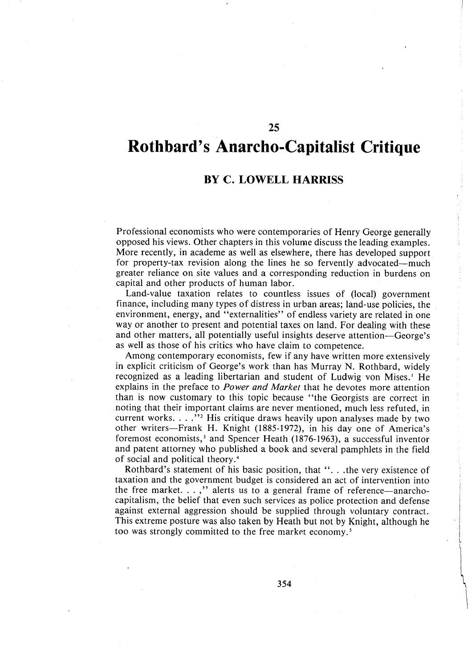# BY C. LOWELL HARRISS

Professional economists who were contemporaries of Henry George generally opposed his views. Other chapters in this volume discuss the leading examples. More recently, in academe as well as elsewhere, there has developed support for property-tax revision along the lines he so fervently advocated—much greater reliance on site values and a corresponding reduction in burdens on capital and other products of human labor.

Land-value taxation relates to countless issues of (local) government finance, including many types of distress in urban areas; land-use policies, the environment, energy, and "externalities" of endless variety are related in one way or another to present and potential taxes on land. For dealing with these and other matters, all potentially useful insights deserve attention—George's as well as those of his critics who have claim to competence.

Among contemporary economists, few if any have written more extensively in explicit criticism of George's work than has Murray N. Rothbard, widely recognized as a leading libertarian and student of Ludwig von Mises. He explains in the preface to *Power and Market* that he devotes more attention than is now customary to this topic because "the Georgists are correct in noting that their important claims are never mentioned, much less refuted, in current works.  $\ldots$   $\ddot{ }$  His critique draws heavily upon analyses made by two other writers—Frank H. Knight (1885-1972), in his day one of America's foremost economists,' and Spencer Heath (1876-1963), a successful inventor and patent attorney who published a book and several pamphlets in the field of social and political theory.'

Rothbard's statement of his basic position, that ". . .the very existence of taxation and the government budget is considered an act of intervention into the free market. . . ," alerts us to a general frame of reference-anarchocapitalism, the belief that even such services as police protection and defense against external aggression should be supplied through voluntary contract. This extreme posture was also taken by Heath but not by Knight, although he too was strongly committed to the free market economy.'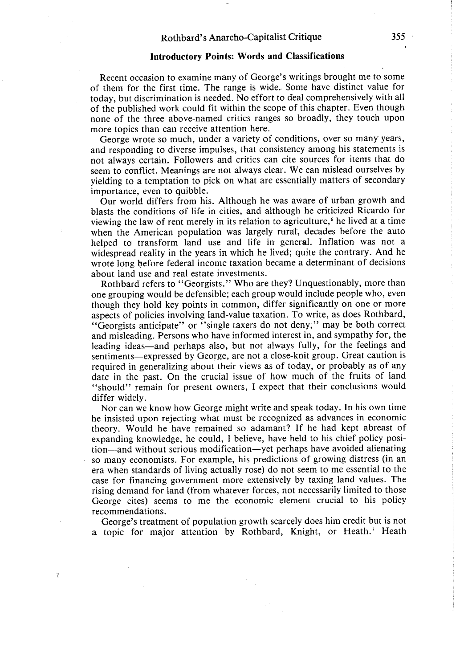#### **Introductory Points: Words and Classifications**

Recent occasion to examine many of George's writings brought me to some of them for the first time. The range is wide. Some have distinct value for today, but discrimination is needed. No effort to deal comprehensively with all of the published work could fit within the scope of this chapter. Even though none of the three above-named critics ranges so broadly, they touch upon more topics than can receive attention here.

George wrote so much, under a variety of conditions, over so many years, and responding to diverse impulses, that consistency among his statements is not always certain. Followers and critics can cite sources for items that do seem to conflict. Meanings are not always clear. We can mislead ourselves by yielding to a temptation to pick on what are essentially matters of secondary importance, even to quibble.

Our world differs from his. Although he was aware of urban growth and blasts the conditions of life in cities, and although he criticized Ricardo for viewing the law of rent merely in its relation to agriculture,<sup>6</sup> he lived at a time when the American population was largely rural, decades before the auto helped to transform land use and life in general. Inflation was not a widespread reality in the years in which he lived; quite the contrary. And he wrote long before federal income taxation became a determinant of decisions about land use and real estate investments.

Rothbard refers to "Georgists." Who are they? Unquestionably, more than one grouping would be defensible; each group would include people who, even though they hold key points in common, differ significantly on one or more aspects of policies involving land-value taxation. To write, as does Rothbard, "Georgists anticipate" or "single taxers do not deny," may be both correct and misleading. Persons who have informed interest in, and sympathy for, the leading ideas—and perhaps also, but not always fully, for the feelings and sentiments—expressed by George, are not a close-knit group. Great caution is required in generalizing about their views as of today, or probably as of any date in the past. On the crucial issue of how much of the fruits of land "should" remain for present owners, I expect that their conclusions would differ widely.

Nor can we know how George might write and speak today. In his own time he insisted upon rejecting what must be recognized as advances in economic theory. Would he have remained so adamant? If he had kept abreast of expanding knowledge, he could, I believe, have held to his chief policy position—and without serious modification—yet perhaps have avoided alienating so many economists. For example, his predictions of growing distress (in an era when standards of living actually rose) do not seem to me essential to the case for financing government more extensively by taxing land values. The rising demand for land (from whatever forces, not necessarily limited to those George cites) seems to me the economic element crucial to his policy recommendations.

George's treatment of population growth scarcely does him credit but is not a topic for major attention by Rothbard, Knight, or Heath.' Heath

Y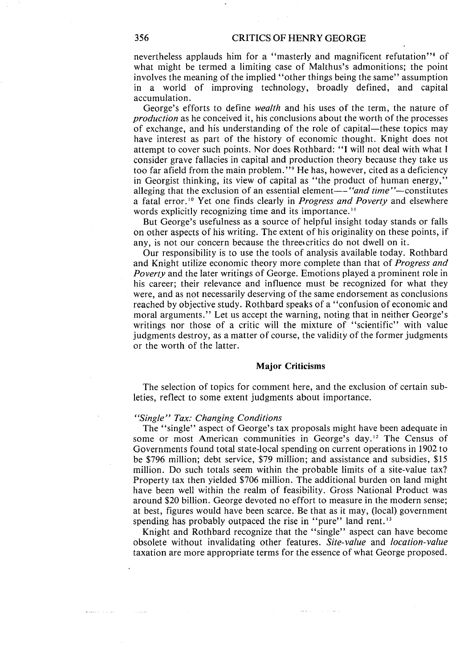#### *356* **CRITICS OF HENRY GEORGE**

nevertheless applauds him for a "masterly and magnificent refutation"' of what might be termed a limiting case of Maithus's admonitions; the point involves the meaning of the implied "other things being the same" assumption in a world of improving technology, broadly defined, and capital accumulation.

George's efforts to define *wealth* and his uses of the term, the nature of *production* as he conceived it, his conclusions about the worth of the processes of exchange, and his understanding of the role of capital—these topics may have interest as part of the history of economic thought. Knight does not attempt to cover such points. Nor does Rothbard: "I will not deal with what I consider grave fallacies in capital and production theory because they take us too far afield from the main problem."<sup>9</sup> He has, however, cited as a deficiency in Georgist thinking, its view of capital as "the product of human energy," alleging that the exclusion of an essential *element--"and* time"—constitutes a fatal error.<sup>10</sup> Yet one finds clearly in *Progress and Poverty* and elsewhere words explicitly recognizing time and its importance.''

But George's usefulness as a source of helpful insight today stands or falls on other aspects of his writing. The extent of his originality on these points, if any, is not our concern because the threecritics do not dwell on it.

Our responsibility is to use the tools of analysis available today. Rothbard and Knight utilize economic theory more complete than that of *Progress and*  Poverty and the later writings of George. Emotions played a prominent role in his career; their relevance and influence must be recognized for what they were, and as not necessarily deserving of the same endorsement as conclusions reached by objective study. Rothbard speaks of a "confusion of economic and moral arguments." Let us accept the warning, noting that in neither George's writings nor those of a critic will the mixture of "scientific" with value judgments destroy, as a matter of course, the validity of the former judgments or the worth of the latter.

### **Major Criticisms**

The selection of topics for comment here, and the exclusion of certain subleties, reflect to some extent judgments about importance.

#### *"Single" Tax: Changing Conditions*

The "single" aspect of George's tax proposals might have been adequate in some or most American communities in George's day.<sup>12</sup> The Census of Governments found total state-local spending on current operations in 1902 to be \$796 million; debt service, \$79 million; and assistance and subsidies, \$15 million. Do such totals seem within the probable limits of a site-value tax? Property tax then yielded \$706 million. The additional burden on land might have been well within the realm of feasibility. Gross National Product was around \$20 billion. George devoted no effort to measure in the modern sense; at best, figures would have been scarce. Be that as it may, (local) government spending has probably outpaced the rise in "pure" land rent.<sup>13</sup>

Knight and Rothbard recognize that the "single" aspect can have become obsolete without invalidating other features. *Site-value* and *location-value*  taxation are more appropriate terms for the essence of what George proposed.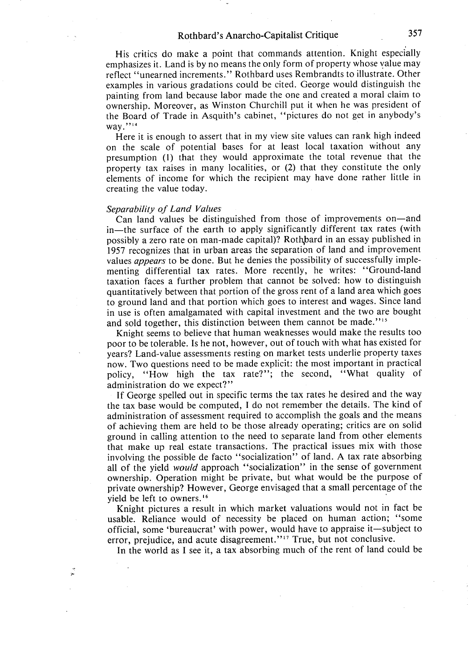His critics do make a point that commands attention. Knight especially emphasizes it. Land is by no means the only form of property whose value may reflect "unearned increments." Rothbard uses Rembrandts to illustrate. Other examples in various gradations could be cited. George would distinguish the painting from land because labor made the one and created a moral claim to ownership. Moreover, as Winston Churchill put it when he was president of the Board of Trade in. Asquith's cabinet, "pictures do not get in anybody's way." $14$ 

Here it is enough to assert that in my view site values can rank high indeed on the scale of potential bases for at least local taxation without any presumption (1) that they would approximate the total revenue that the property tax raises in many localities, or (2) that they constitute the only elements of income for which the recipient may have done rather little in creating the value today.

#### *Separability of Land Values*

Can land values be distinguished from those of improvements on—and in—the surface of the earth to apply significantly different tax rates (with possibly a zero rate on man-made capital)? Rothbard in an essay published in *1957* recognizes that in urban areas the separation of land and improvement values *appears* to be done. But he denies the possibility of successfully implementing differential tax rates. More recently, he writes: "Ground-land taxation faces a further problem that cannot be solved: how to distinguish quantitatively between that portion of the gross rent of a land area which goes to ground land and that portion which goes to interest and wages. Since land in use is often amalgamated with capital investment and the two are bought and sold together, this distinction between them cannot be made."<sup>15</sup>

Knight seems to believe that human weaknesses would make the results too poor to be tolerable. Is he not, however, out of touch with what has existed for years? Land-value assessments resting on market tests underlie property taxes now. Two questions need to be made explicit: the most important in practical policy, "How high the tax rate?"; the second, "What quality of administration do we expect?"

If George spelled out in specific terms the tax rates he desired and the way the tax base would be computed, I do not remember the details. The kind of administration of assessment required to accomplish the goals and the means of achieving them are held to be those already operating; critics are on solid ground in calling attention to the need to separate land from other elements that make up real estate transactions. The practical issues mix with those involving the possible de facto "socialization" of land. A tax rate absorbing all of the yield *would* approach "socialization" in the sense of government ownership. Operation might be private, but what would be the purpose of private ownership? However, George envisaged that a small percentage of the yield be left to owners.<sup>16</sup>

Knight pictures a result in which market valuations would not in fact be usable. Reliance would of necessity be placed on human action; "some official, some 'bureaucrat' with power, would have to appraise it—subject to error, prejudice, and acute disagreement."<sup>17</sup> True, but not conclusive.

In the world as I see it, a tax absorbing much of the rent of land could be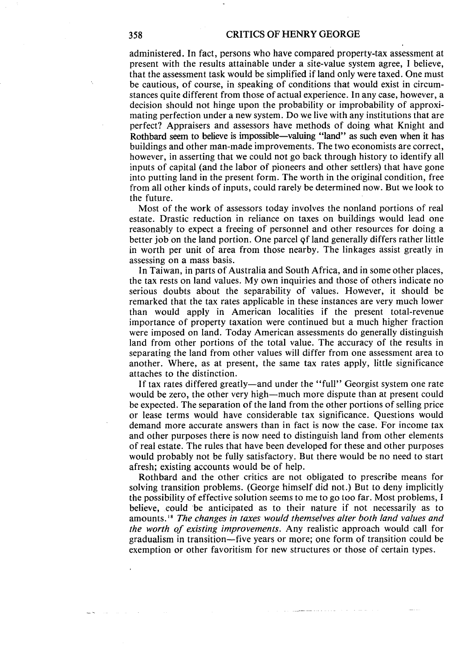### *358* **CRITICS OF HENRY GEORGE**

administered. In fact, persons who have compared property-tax assessment at present with the results attainable under a site-value system agree, I believe, that the assessment task would be simplified if land only were taxed. One must be cautious, of course, in speaking of conditions that would exist in circumstances quite different from those of actual experience. In any case, however, a decision should not hinge upon the probability or improbability of approximating perfection under a new system. Do we live with any institutions that are perfect? Appraisers and assessors have methods of doing what Knight and Rothbard seem to believe is impossible—valuing "land" as such even when it has buildings and other man-made improvements. The two economists are correct, however, in asserting that we could not go back through history to identify all inputs of capital (and the labor of pioneers and other settlers) that have gone into putting land in the present form. The worth in the original condition, free from all other kinds of inputs, could rarely be determined now. But we look to the future.

Most of the work of assessors today involves the nonland portions of real estate. Drastic reduction in reliance on taxes on buildings would lead one reasonably to expect a freeing of personnel and other resources for doing a better job on the land portion. One parcel çf land generally differs rather little in worth per unit of area from those nearby. The linkages assist greatly in assessing on a mass basis.

In Taiwan, in parts of Australia and South Africa, and in some other places, the tax rests on land values. My own inquiries and those of others indicate no serious doubts about the separability of values. However, it should be remarked that the tax rates applicable in these instances are very much lower than would apply in American localities if the present total-revenue importance of property taxation were continued but a much higher fraction were imposed on land. Today American assessments do generally distinguish land from other portions of the total value. The accuracy of the results in separating the land from other values will differ from one assessment area to another. Where, as at present, the same tax rates apply, little significance attaches to the distinction.

If tax rates differed greatly—and under the "full" Georgist system one rate would be zero, the other very high—much more dispute than at present could be expected. The separation of the land from the other portions of selling price or lease terms would have considerable tax significance. Questions would demand more accurate answers than in fact is now the case. For income tax and other purposes there is now need to distinguish land from other elements of real estate. The rules that have been developed for these and other purposes would probably not be fully satisfactory. But there would be no need to start afresh; existing accounts would be of help.

Rothbard and the other critics are not obligated to prescribe means for solving transition problems. (George himself did not.) But to deny implicitly the possibility of effective solution seems to me to go too far. Most problems, I believe, could be anticipated as to their nature if not necessarily as to *amounts. ' <sup>8</sup>The changes in taxes would themselves alter both land values and the worth of existing improvements.* Any realistic approach would call for gradualism in transition—five years or more; one form of transition could be exemption or other favoritism for new structures or those of certain types.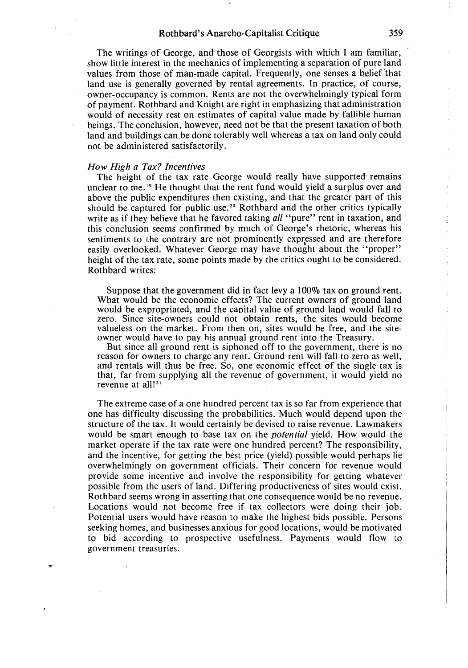The writings of George, and those of Georgists with which I am familiar, show little interest in the mechanics of implementing a separation of pure land values from those of man-made capital. Frequently, one senses a belief that land use is generally governed by rental agreements. In practice, of course, owner-occupancy is common. Rents are not the overwhelmingly typical form of payment. Rothbard and Knight are right in emphasizing that administration would of necessity rest on estimates of capital value made by fallible human beings. The conclusion, however, need not be that the present taxation of both land and buildings can be done tolerably well whereas a tax on land only could not be administered satisfactorily.

#### *How High a Tax? Incentives.*

The height of the tax rate George would really have supported remains unclear to me.<sup>19</sup> He thought that the rent fund would yield a surplus over and above the public expenditures then existing, and that the greater part of this should be captured for public use.<sup>20</sup> Rothbard and the other critics typically write as if they believe that he favored taking *all* "pure" rent in taxation, and this conclusion seems confirmed by much of George's rhetoric, whereas his sentiments to the contrary are not prominently expressed and are therefore easily overlooked. Whatever George may have thought about the "proper" height of the tax rate, some points made by the critics ought to be considered. Rothbard writes:

Suppose that the government did in fact levy a 100% tax on ground rent. What would be the economic effects? The current owners of ground land would be expropriated, and the canital value of ground land would fall to zero. Since site-owners could not obtain rents, the sites would become valueless on the market. From then on, sites would be free, and the siteowner would have to pay his annual ground rent into the Treasury.

But since all ground rent is siphoned off to the government, there is no reason for owners to charge any rent. Ground rent will fall to zero as well, and rentals will thus be free. So, one economic effect of the single tax is that, far from supplying all the revenue of government, it would yield no revenue at all!<sup>21</sup>

The extreme case of a one hundred percent tax is so far from experience that one has difficulty discussing the probabilities. Much would depend upon the structure of the tax. It would certainly be devised to raise revenue. Lawmakers would be smart enough to base tax on the *potential* yield. How would the market operate if the tax rate were one hundred percent? The responsibility, and the incentive, for getting the best price (yield) possible would perhaps lie overwhelmingly on government officials. Their concern for revenue would provide some incentive and involve the responsibility for getting whatever possible from the users of land. Differing productiveness of sites would exist. Rothbard seems wrong in asserting that one consequence would be no revenue. Locations would not become free if tax collectors were doing their job. Potential users would have reason to make the highest bids possible. Persons seeking homes, and businesses anxious for good locations, would be motivated to bid according to prospective usefulness. Payments would flow to government treasuries.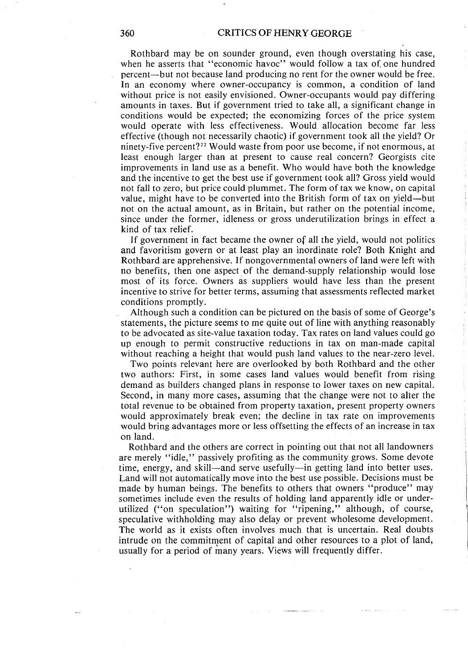Rothbard may be on sounder ground, even though overstating his case, when he asserts that "economic havoc" would follow a tax of one hundred percent—but not because land producing no rent for the owner would be free. In an economy where owner-occupancy is common, a condition of land without price is not easily envisioned. Owner-occupants would pay differing amounts in taxes. But if government tried to take all, a significant change in conditions would be expected; the economizing forces of the price system would operate with less effectiveness. Would allocation become far less effective (though not necessarily chaotic) if government took all the yield? Or ninety-five percent?<sup>22</sup> Would waste from poor use become, if not enormous, at least enough larger than at present to cause real concern? Georgists cite improvements in land use as a benefit. Who would have both the knowledge and the incentive to get the best use if government took all? Gross yield would not fall to zero, but price could plummet. The form of tax we know, on capital value, might have to be converted into the British form of tax on yield—but not on the actual amount, as in Britain, but rather on the potential income, since under the former, idleness or gross underutilization brings in effect a kind of tax relief.

If government in fact became the owner of all the yield, would not politics and favoritism govern or at least play an inordinate role? Both Knight and Rothbard are apprehensive. If nongovernmental owners of land were left with no benefits, then one aspect of the demand-supply relationship would lose most of its force. Owners as suppliers would have less than the present incentive to strive for better terms, assuming that assessments reflected market conditions promptly.

Although such a condition can be pictured on the basis of some of George's statements, the picture seems to me quite out of line with anything reasonably to be advocated as site-value taxation today. Tax rates on land values could go up enough to permit constructive reductions in tax on man-made capital without reaching a height that would push land values to the near-zero level.

Two points relevant here are overlooked by both Rothbard and the other two authors: First, in some cases land values would benefit from rising demand as builders changed plans in response to lower taxes on new capital. Second, in many more cases, assuming that the change were not to alter the total revenue to be obtained from property taxation, present property owners would approximately break even; the decline in tax rate on improvements would bring advantages more or less offsetting the effects of an increase in tax on land.

Rothbard and the others are correct in pointing out that not all landowners are merely "idle," passively profiting as the community grows. Some devote time, energy, and skill—and serve usefully—in getting land into better uses. Land will not automatically move into the best use possible. Decisions must be made by human beings. The benefits to others that owners "produce" may sometimes include even the results of holding land apparently idle or underutilized ("on speculation") waiting for "ripening," although, of course, speculative withholding may also delay or prevent wholesome development. The world as it exists often involves much that is uncertain. Real doubts intrude on the commitment of capital and other resources to a plot of land, usually for a period of many years. Views will frequently differ.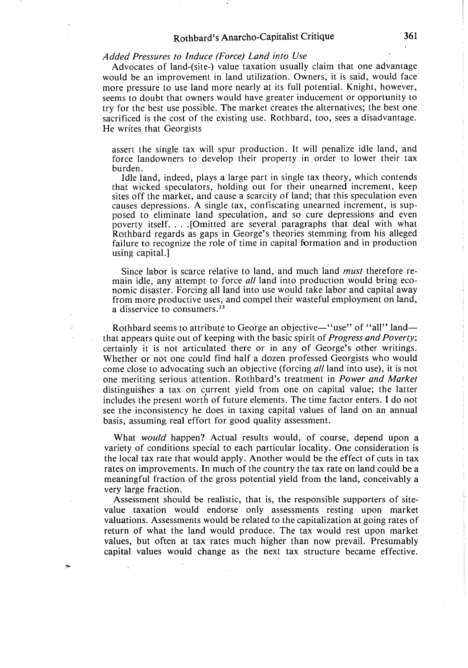#### *Added Pressures to Induce (Force) Land into Use*

Advocates of land-(site-) value taxation usually claim that one advantage would be an improvement in land utilization. Owners, it is said, would face more pressure to use land more nearly at its full potential. Knight, however, seems to doubt that owners would have greater inducement or opportunity to try for the best use possible. The market creates the alternatives; the best one sacrificed is the cost of the existing use. Rothbard, too, sees a disadvantage. He writes that Georgists

assert the single tax will spur production. It will penalize idle land, and force landowners to develop their property in order to lower their tax burden.

Idle land, indeed, plays a large part in single tax theory, which contends that wicked speculators, holding out for their unearned increment, keep sites off the market, and cause a scarcity of land; that this speculation even causes depressions. A single tax, confiscating unearned increment, is supposed to eliminate land speculation, and so cure depressions and even poverty itself. . . .[Omitted are several paragraphs that deal with what Rothbard regards as gaps in George's theories stemming from his alleged failure to recognize the role of time in capital formation and in production using capital.]

Since labor is scarce relative to land, and much land *must* therefore remain idle, any attempt to force *all* land into production would bring economic disaster. Forcing all land into use would take labor and capital away from more productive uses, and compel their wasteful employment on land, a disservice to consumers. <sup>23</sup>

Rothbard seems to attribute to George an objective—"use" of "all" land that appears quite out of keeping with the basic spirit of *Progress and Poverty;*  certainly it is not articulated there or in any of George's other writings. Whether or not one could find half a dozen professed Georgists who would come close to advocating such an objective (forcing *all* land into use), it is not one meriting serious attention. Rothbard's treatment in *Power and Market*  distinguishes a tax on current yield from one on capital value; the latter includes the present worth of future elements. The time factor enters. I do not see the inconsistency he does in taxing capital values of land on an annual basis, assuming real effort for good quality assessment.

What *would* happen? Actual results would, of course, depend upon a variety of conditions special to each particular locality. One consideration is the local tax rate that would apply. Another would be the effect of cuts in tax rates on improvements. In much of the country the tax rate on land could be a meaningful fraction of the gross potential yield from the land, conceivably a very large fraction.

Assessment should be realistic, that is, the responsible supporters of sitevalue taxation would endorse only assessments resting upon market valuations. Assessments would be related to the capitalization at going rates of return of what the land would produce. The tax would rest upon market values, but often at tax rates much higher than now prevail. Presumably capital values would change as the next tax structure became effective.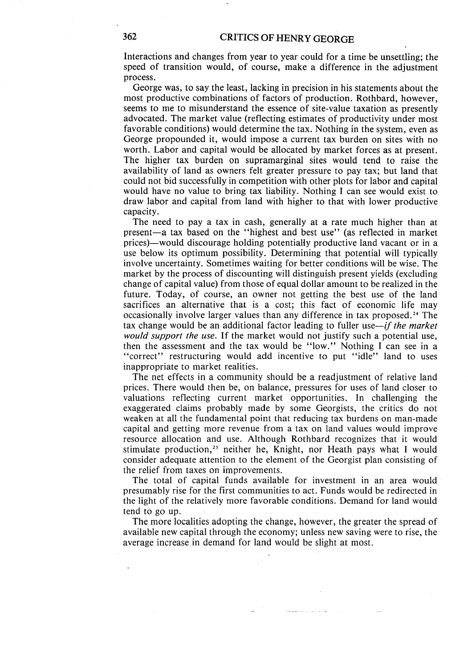Interactions and changes from year to year could for a time be unsettling; the speed of transition would, of course, make a difference in the adjustment process.

George was, to say the least, lacking in precision in his statements about the most productive combinations of factors of production. Rothbard, however, seems to me to misunderstand the essence of site-value taxation as presently advocated. The market value (reflecting estimates of productivity under most favorable conditions) would determine the tax. Nothing in the system, even as George propounded it, would impose a current tax burden on sites with no worth. Labor and capital would be allocated by market forces as at present. The higher tax burden on supramarginal sites would tend to raise the availability of land as owners felt greater pressure to pay tax; but land that could not bid successfully in competition with other plots for labor and capital would have no value to bring tax liability. Nothing I can see would exist to draw labor and capital from land with higher to that with lower productive capacity.

The need to pay a tax in cash, generally at a rate much higher than at present—a tax based on the "highest and best use" (as reflected in market prices)—would discourage holding potentially productive land vacant or in a use below its optimum possibility. Determining that potential will typically involve uncertainty. Sometimes waiting for better conditions will be wise. The market by the process of discounting will distinguish present yields (excluding change of capital value) from those of equal dollar amount to be realized in the future. Today, of course, an owner not getting the best use of the land sacrifices an alternative that is a cost; this fact of economic life may occasionally involve larger values than any difference in tax proposed.<sup>24</sup> The tax change would be an additional factor leading to fuller use—if *the market*  would *support the use.* If the market would not justify such a potential use, then the assessment and the tax would be "low." Nothing I can see in a "correct" restructuring would add incentive to put "idle" land to uses inappropriate to market realities.

The net effects in a community should be a readjustment of relative land prices. There would then be, on balance, pressures for uses of land closer to valuations reflecting current market opportunities. In challenging the exaggerated claims probably made by some Georgists, the critics do not weaken at all the fundamental point that reducing tax burdens on man-made capital and getting more revenue from a tax on land values would improve resource allocation and use. Although Rothbard recognizes that it would stimulate production,<sup>25</sup> neither he, Knight, nor Heath pays what I would consider adequate attention to the element of the Georgist plan consisting of the relief from taxes on improvements.

The total of capital funds available for investment in an area would presumably rise for the first communities to act. Funds would be redirected in the light of the relatively more favorable conditions. Demand for land would tend to go up.

The more localities adopting the change, however, the greater the spread of available new capital through the economy; unless new saving were to rise, the average increase in demand for land would be slight at most.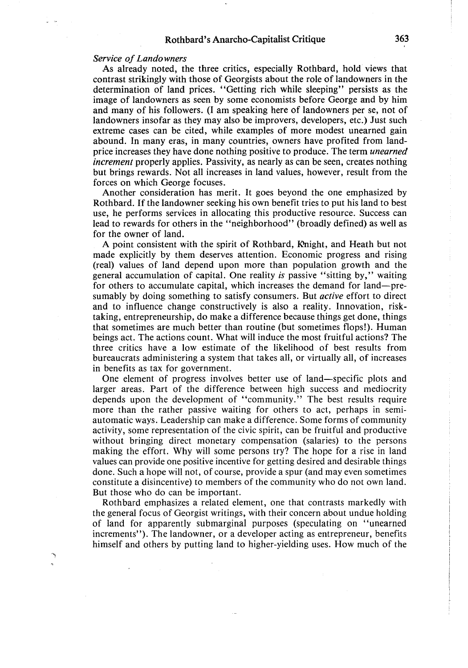#### *Service of Landowners*

As already noted, the three critics, especially Rothbard, hold views that contrast strikingly with those of Georgists about the role of landowners in the determination of land prices. "Getting rich while sleeping" persists as the image of landowners as seen by some economists before George and by him and many of his followers. (I am speaking here of landowners per se, not of landowners insofar as they may also be improvers, developers, etc.) Just such extreme cases can be cited, while examples of more modest unearned gain abound. In many eras, in many countries, owners have profited from landprice increases they have done nothing positive to produce. The term *unearned increment* properly applies. Passivity, as nearly as can be seen, creates nothing but brings rewards. Not all increases in land values, however, result from the forces on which George focuses.

Another consideration has merit. It goes beyond the one emphasized by Rothbard. If the landowner seeking his own benefit tries to put his land to best use, he performs services in allocating this productive resource. Success can lead to rewards for others in the "neighborhood" (broadly defined) as well as for the owner of land.

A point consistent with the spirit of Rothbard, Knight, and Heath but not made explicitly by them deserves attention. Economic progress and rising (real) values of land depend upon more than population growth and the general accumulation of capital. One reality *is* passive "sitting by," waiting for others to accumulate capital, which increases the demand for land—presumably by doing something to satisfy consumers. But *active* effort to direct and to influence change constructively is also a reality. Innovation, risktaking, entrepreneurship, do make a difference because things get done, things that sometimes are much better than routine (but sometimes flops!). Human beings act. The actions count. What will induce the most fruitful actions? The three critics have a low estimate of the likelihood of best results from bureaucrats administering a system that takes all, or virtually all, of increases in benefits as tax for government.

One element of progress involves better use of land—specific plots and larger areas. Part of the difference between high success and mediocrity depends upon the development of "community." The best results require more than the rather passive waiting for others to act, perhaps in semiautomatic ways. Leadership can make a difference. Some forms of community activity, some representation of the civic spirit, can be fruitful and productive without bringing direct monetary compensation (salaries) to the persons making the effort. Why will some persons try? The hope for a rise in land values can provide one positive incentive for getting desired and desirable things done. Such a hope will not, of course, provide a spur (and may even sometimes constitute a disincentive) to members of the community who do not own land. But those who do can be important.

Rothbard emphasizes a related element, one that contrasts markedly with the general focus of Georgist writings, with their concern about undue holding of land for apparently submarginal purposes (speculating on "unearned increments"). The landowner, or a developer acting as entrepreneur, benefits himself and others by putting land to higher-yielding uses. How much of the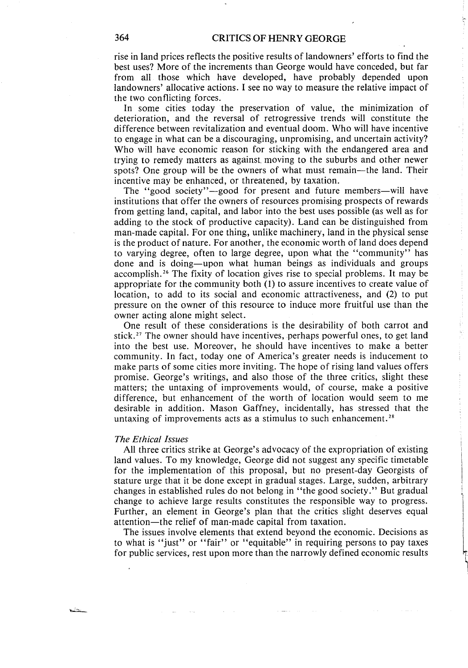rise in land prices reflects the positive results of landowners' efforts to find the best uses? More of the increments than George would have conceded, but far from all those which have developed, have probably depended upon landowners' allocative actions. I see no way to measure the relative impact of the two conflicting forces.

In some cities today the preservation of value, the minimization of deterioration, and the reversal of retrogressive trends will constitute the difference between revitalization and eventual doom. Who will have incentive to engage in what can be a discouraging, unpromising, and uncertain activity? Who will have economic reason for sticking with the endangered area and trying to remedy matters as against, moving to the suburbs and other newer spots? One group will be the owners of what must remain—the land. Their incentive may be enhanced, or threatened, by taxation.

The "good society"—good for present and future members—will have institutions that offer the owners of resources promising prospects of rewards from getting land, capital, and labor into the best uses possible (as well as for adding to the stock of productive capacity). Land can be distinguished from man-made capital. For one thing, unlike machinery, land in the physical sense is the product of nature. For another, the economic worth of land does depend to varying degree, often to large degree, upon what the "community" has done and is doing—upon what human beings as individuals and groups accomplish.<sup>26</sup> The fixity of location gives rise to special problems. It may be appropriate for the community both (1) to assure incentives to create value of location, to add to its social and economic attractiveness, and (2) to put pressure on the owner of this resource to induce more fruitful use than the owner acting alone might select.

One result of these considerations is the desirability of both carrot and stick.<sup>27</sup> The owner should have incentives, perhaps powerful ones, to get land into the best use. Moreover, he should have incentives to make a better community. In fact, today one of America's greater needs is inducement to make parts of some cities more inviting. The hope of rising land values offers promise. George's writings, and also those of the three critics, slight these matters; the untaxing of improvements would, of course, make a positive difference, but enhancement of the worth of location would seem to me desirable in addition. Mason Gaffney, incidentally, has stressed that the untaxing of improvements acts as a stimulus to such enhancement.<sup>28</sup>

#### *The Ethical Issues*

All three critics strike at George's advocacy of the expropriation of existing land values. To my knowledge, George did not suggest any specific timetable for the implementation of this proposal, but no present-day Georgists of stature urge that it be done except in gradual stages. Large, sudden, arbitrary changes in established rules do not belong in "the good society." But gradual change to achieve large results constitutes the responsible way to progress. Further, an element in George's plan that the critics slight deserves equal attention—the relief of man-made capital from taxation.

The issues involve elements that extend beyond the economic. Decisions as to what is "just" or "fair" or "equitable" in requiring persons to pay taxes for public services, rest upon more than the narrowly defined economic results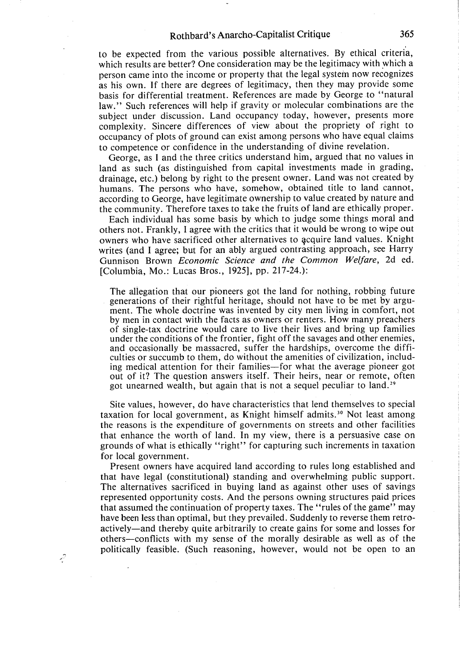to be expected from the various possible alternatives. By ethical criteria, which results are better? One consideration may be the legitimacy with which a person came into the income or property that the legal system now recognizes as his own. If there are degrees of legitimacy, then they may provide some basis for differential treatment. References are made by George to "natural law." Such references will help if gravity or molecular combinations are the subject under discussion. Land occupancy today, however, presents more complexity. Sincere differences of view about the propriety of right to occupancy of plots of ground can exist among persons who have equal claims to competence or confidence in the understanding of divine revelation.

George, as I and the three critics understand him, argued that no values in land as such (as distinguished from capital investments made in grading, drainage, etc.) belong by right to the present owner. Land was not created by humans. The persons who have, somehow, obtained title to land cannot, according to George, have legitimate ownership to value created by nature and the community. Therefore taxes to take the fruits of land are ethically proper.

Each individual has some basis by which to judge some things moral and others not. Frankly, I agree with the critics that it would be wrong to wipe out owners who have sacrificed other alternatives to 4cquire land values. Knight writes (and I agree; but for an ably argued contrasting approach, see Harry *Gunnison Brown Economic Science and the Common Welfare,* 2d ed. [Columbia, Mo.: Lucas Bros., 1925], pp. 217-24.):

The allegation that our pioneers got the land for nothing, robbing future generations of their rightful heritage, should not have to be met by argument. The whole doctrine was invented by city men living in comfort, not by men in contact with the facts as owners or renters. How many preachers of single-tax doctrine would care to live their lives and bring up families under the conditions of the frontier, fight off the savages and other enemies, and occasionally be massacred, suffer the hardships, overcome the difficulties or succumb to them, do without the amenities of civilization, including medical attention for their families—for what the average pioneer got out of it? The question answers itself. Their heirs, near or remote, often got unearned wealth, but again that is not a sequel peculiar to land.<sup>29</sup>

Site values, however, do have characteristics that lend themselves to special taxation for local government, as Knight himself admits.<sup>30</sup> Not least among the reasons is the expenditure of governments on streets and other facilities that enhance the worth of land. In my view, there is a persuasive case on grounds of what is ethically "right" for capturing such increments in taxation for local government.

Present owners have acquired land according to rules long established and that have legal (constitutional) standing and overwhelming public support. The alternatives sacrificed in buying land as against other uses of savings represented opportunity costs. And the persons owning structures paid prices that assumed the continuation of property taxes. The "rules of the game" may have been less than optimal, but they prevailed. Suddenly to reverse them retroactively—and thereby quite arbitrarily to create gains for some and losses for others—conflicts with my sense of the morally desirable as well as of the politically feasible. (Such reasoning, however, would not be open to an

2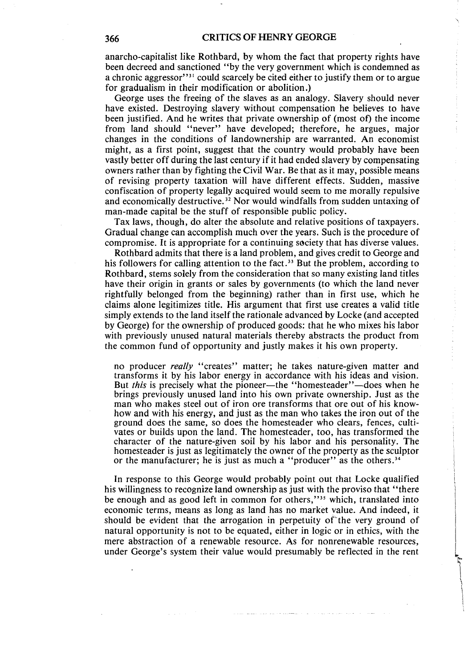anarcho-capitalist like Rothbard, by whom the fact that property rights have been decreed and sanctioned "by the very government which is condemned as a chronic aggressor"<sup>31</sup> could scarcely be cited either to justify them or to argue for gradualism in their modification or abolition.)

George uses the freeing of the slaves as an analogy. Slavery should never have existed. Destroying slavery without compensation he believes to have been justified. And he writes that private ownership of (most of) the income from land should "never" have developed; therefore, he argues, major changes in the conditions of landownership are warranted. An economist might, as a first point, suggest that the country would probably have been vastly better off during the last century if it had ended slavery by compensating owners rather than by fighting the Civil War. Be that as it may, possible means of revising property taxation will have different effects. Sudden, massive confiscation of property legally acquired would seem to me morally repulsive and economically destructive.<sup>32</sup> Nor would windfalls from sudden untaxing of man-made capital be the stuff of responsible public policy.

Tax laws, though, do alter the absolute and relative positions of taxpayers. Gradual change can accomplish much over the years. Such is the procedure of compromise. It is appropriate for a continuing society that has diverse values.

Rothbard admits that there is a land problem, and gives credit to George and his followers for calling attention to the fact.<sup>33</sup> But the problem, according to Rothbard, stems solely from the consideration that so many existing land titles have their origin in grants or sales by governments (to which the land never rightfully belonged from the beginning) rather than in first use, which he claims alone legitimizes title. His argument that first use creates a valid title simply extends to the land itself the rationale advanced by Locke (and accepted by George) for the ownership of produced goods: that he who mixes his labor with previously unused natural materials thereby abstracts the product from the common fund of opportunity and justly makes it his own property.

no producer *really* "creates" matter; he takes nature-given matter and transforms it by his labor energy in accordance with his ideas and vision. But *this* is precisely what the pioneer—the "homesteader"—does when he brings previously unused land into his own private ownership. Just as the man who makes steel out of iron ore transforms that ore out of his knowhow and with his energy, and just as the man who takes the iron out of the ground does the same, so does the homesteader who clears, fences, cultivates or builds upon the land. The homesteader, too, has transformed the character of the nature-given soil by his labor and his personality. The homesteader is just as legitimately the owner of the property as the sculptor or the manufacturer; he is just as much a "producer" as the others.<sup>34</sup>

In response to this George would probably point out that Locke qualified his willingness to recognize land ownership as just with the proviso that "there be enough and as good left in common for others,"<sup>35</sup> which, translated into economic terms, means as long as land has no market value. And indeed, it should be evident that the arrogation in perpetuity of the very ground of natural opportunity is not to be equated, either in logic or in ethics, with the mere abstraction of a renewable resource. As for nonrenewable resources, under George's system their value would presumably be reflected in the rent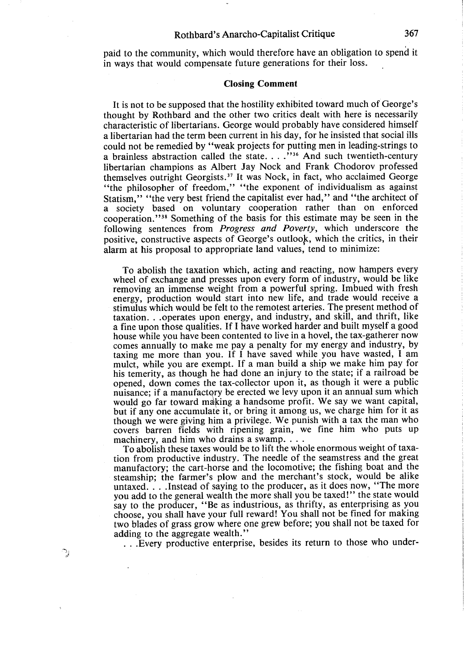paid to the community, which would therefore have an obligation to spend it in ways that would compensate future generations for their loss.

#### **Closing Comment**

It is not to be supposed that the hostility exhibited toward much of George's thought by Rothbard and the other two critics dealt with here is necessarily characteristic of libertarians. George would probably have considered himself a libertarian had the term been current in his day, for he insisted that social ills could not be remedied by "weak projects for putting men in leading-strings to a brainless abstraction called the state.  $\ldots$ ."<sup>36</sup> And such twentieth-century libertarian champions as Albert Jay Nock and Frank Chodorov professed themselves outright Georgists.<sup>37</sup> It was Nock, in fact, who acclaimed George "the philosopher of freedom," "the exponent of individualism as against Statism," "the very best friend the capitalist ever had," and "the architect of a society based on voluntary cooperation rather than on enforced cooperation."<sup>38</sup> Something of the basis for this estimate may be seen in the following sentences from *Progress and Poverty,* which underscore the positive, constructive aspects of George's outlook, which the critics, in their alarm at his proposal to appropriate land values, tend to minimize:

To abolish the taxation which, acting and reacting, now hampers every wheel of exchange and presses upon every form of industry, would be like removing an immense weight from a powerful spring. Imbued with fresh energy, production would start into new life, and trade would receive a stimulus which would be felt to the remotest arteries. The present method of taxation. . .operates upon energy, and industry, and skill, and thrift, like a fine upon those qualities. If I have worked harder and built myself a good house while you have been contented to live in a hovel, the tax-gatherer now comes annually to make me pay a penalty for my energy and industry, by taxing me more than you. If I have saved while you have wasted, I am mulct, while you are exempt. If a man build a ship we make him pay for his temerity, as though he had done an injury to the state; if a railroad be opened, down comes the tax-collector upon it, as though it were a public nuisance; if a manufactory be erected we levy upon it an annual sum which would go far toward making a handsome profit. We say we want capital, but if any one accumulate it, or bring it among us, we charge him for it as though we were giving him a privilege. We punish with a tax the man who covers barren fields with ripening grain, we fine him who puts up machinery, and him who drains a swamp. . .

To abolish these taxes would be to lift the whole enormous weight of taxation from productive industry. The needle of the seamstress and the great manufactory; the cart-horse and the locomotive; the fishing boat and the steamship; the farmer's plow and the merchant's stock, would be alike untaxed. . . . Instead of saying to the producer, as it does now, "The more you add to the general wealth the more shall you be taxed!" the state would say to the producer, "Be as industrious, as thrifty, as enterprising as you choose, you shall have your full reward! You shall not be fined for making two blades of grass grow where one grew before; you shall not be taxed for adding to the aggregate wealth."

.Every productive enterprise, besides its return to those who under-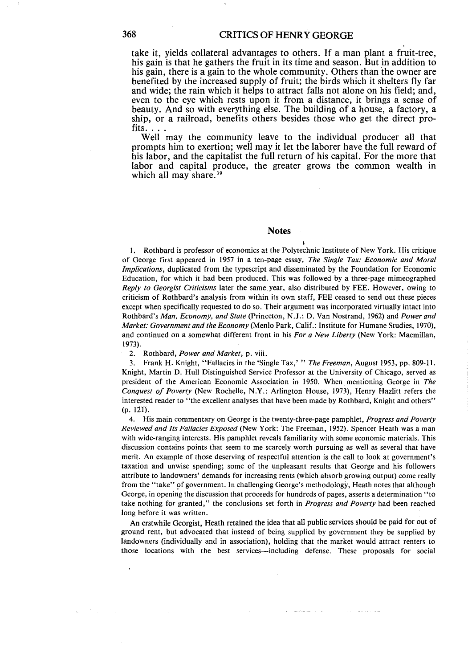### **368 CRITICS OF HENRY GEORGE**

take it, yields collateral advantages to others. If a man plant a fruit-tree, his gain is that he gathers the fruit in its time and season. But in addition to his gain, there is a gain to the whole community. Others than the owner are benefited by the increased supply of fruit; the birds which it shelters fly far and wide; the rain which it helps to attract falls not alone on his field; and, even to the eye which rests upon it from a distance, it brings a sense of beauty. And so with everything else. The building of a house, a factory, a ship, or a railroad, benefits others besides those who get the direct profits.  $\ldots$ 

Well may the community leave to the individual producer all that prompts him to exertion; well may it let the laborer have the full reward of his labor, and the capitalist the full return of his capital. For the more that labor and capital produce, the greater grows the common wealth in which all may share.<sup>39</sup>

#### **Notes**

1. Rothbard is professor of economics at the Polytechnic Institute of New York. His critique of George first appeared in 1957 in a ten-page essay, *The Single Tax: Economic and Moral Implications,* duplicated from the typescript and disseminated by the Foundation for Economic Education, for which it had been produced. This was followed by a three-page mimeographed *Reply to Georgist Criticisms* later the same year, also distributed by FEE. However, owing to criticism of Rothbard's analysis from within its own staff, FEE ceased to send out these pieces except when specifically requested to do so. Their argument was incorporated virtually intact into Rothbard's *Man, Economy, and State* (Princeton, N.J.: D. Van Nostrand, 1962) and *Power and Market: Government and the Economy* (Menlo Park, Calif.: Institute for Humane Studies, 1970), and continued on a somewhat different front in his *For a New Liberty* (New York: Macmillan, 1973).

2. Rothbard, *Power and Market, p. viii.* 

3. Frank H. Knight, "Fallacies in the 'Single Tax,' " *The Freeman,* August 1953, pp. 809-11. Knight, Martin D. Hull Distinguished Service Professor at the University of Chicago, served as president of the American Economic Association in 1950. When mentioning George in *The Conquest* of *Poverty* (New Rochelle, N.Y.: Arlington House, 1973), Henry Hazlitt refers the interested reader to "the excellent analyses that have been made by Rothbard, Knight and others" (p. 121).

4. His main commentary on George is the twenty-three-page pamphlet, *Progress and Poverty Reviewed and Its Fallacies Exposed* (New York: The Freeman, 1952). Spencer Heath was a man with wide-ranging interests. His pamphlet reveals familiarity with some economic materials. This discussion contains points that seem to me scarcely worth pursuing as well as several that have merit. An example of those deserving of respectful attention is the call to look at government's taxation and unwise spending; some of the unpleasant results that George and his followers attribute to landowners' demands for increasing rents (which absorb growing output) come really from the "take" of government. In challenging George's methodology, Heath notes that although George, in opening the discussion that proceeds for hundreds of pages, asserts a determination "to take nothing for granted," the conclusions set forth in *Progress and Poverty* had been reached long before it was written.

An erstwhile Georgist, Heath retained the idea that all public services should be paid for Out of ground rent, but advocated that instead of being supplied by government they be supplied by landowners (individually and in association), holding that the market would attract renters to those locations with the best services—including defense. These proposals for social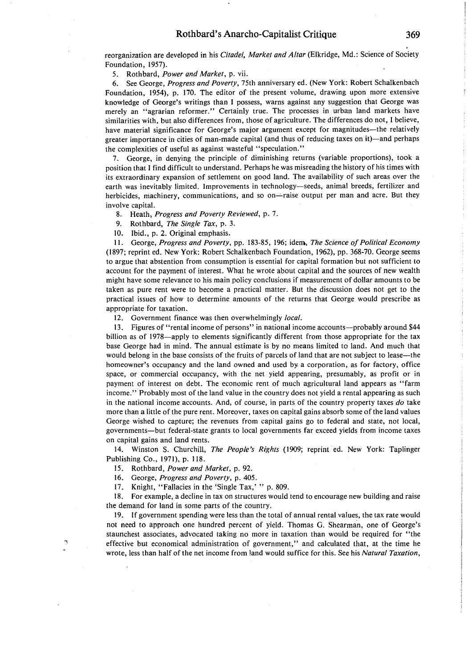reorganization are developed in his Citadel, Market and Altar (Elkridge, Md.: Science of Society Foundation, 1957).

5. Rothbard, Power and Market, p. vii.

6. See George, Progress and Poverty, 75th anniversary ed. (New York: Robert Schalkenbach Foundation, *1954),* p. 170. The editor of the present volume, drawing upon more extensive knowledge of George's writings than I possess, warns against any suggestion that George was merely an "agrarian reformer." Certainly true. The processes in urban land markets have similarities with, but also differences from, those of agriculture. The differences do not, I believe, have material significance for George's major argument except for magnitudes—the relatively greater importance in cities of man-made capital (and thus of reducing taxes on it)—and perhaps the complexities of useful as against wasteful "speculation."

7. George, in denying the principle of diminishing returns (variable proportions), took a position that I find difficult to understand. Perhaps he was misreading the history of his times with its extraordinary expansion of settlement on good land. The availability of such areas over the earth was inevitably limited. Improvements in technology—seeds, animal breeds, fertilizer and herbicides, machinery, communications, and so on—raise output per man and acre. But they involve capital.

8. Heath, Progress and Poverty Reviewed, p. 7.

9. Rothbard, The Single Tax, p. 3.

10. Ibid., p. 2. Original emphasis.

*11. George,* Progress and Poverty, pp. 183-85, 196; iden, The Science *of* Political Economy (1897; reprint ed. New York: Robert Schalkenbach Foundation, 1962), pp. 368-70. George seems to argue that abstention from consumption is essential for capital formation but not sufficient to account for the payment of interest. What he wrote about capital and the sources of new wealth might have some relevance to his main policy conclusions if measurement of dollar amounts to be taken as pure rent were to become a practical matter. But the discussion does not get to the practical issues of how to determine amounts of the returns that George would prescribe as appropriate for taxation.

12. Government finance was then overwhelmingly local.

13. Figures of "rental income of persons" in national income accounts—probably around \$44 billion as of 1978—apply to elements significantly different from those appropriate for the tax base George had in mind. The annual estimate is by no means limited to land. And much that would belong in the base consists of the fruits of parcels of land that are not subject to lease—the homeowner's occupancy and the land owned and used by a corporation, as for factory, office space, or commercial occupancy, with the net yield appearing, presumably, as profit or in payment of interest on debt. The economic rent of much agricultural land appears as "farm income." Probably most of the land value in the country does not yield a rental appearing as such in the national income accounts. And, of course, in parts of the country property taxes do take more than a little of the pure rent. Moreover, taxes on capital gains absorb some of the land values George wished to capture; the revenues from capital gains go to federal and state, not local, governments—but federal-state grants to local governments far exceed yields from income taxes on capital gains and land rents.

14. Winston S. Churchill, The People's Rights (1909; reprint ed. New York: Taplinger Publishing Co., 1971), p. 118.

15. Rothbard, Power and Market, p. 92.

*16. George,* Progress and Poverty, p. 405.

17. Knight, "Fallacies in the 'Single Tax,' " p. 809.

18. For example, a decline in tax on structures would tend to encourage new building and raise the demand for land in some parts of the country.

19. If government spending were less than the total of annual rental values, the tax rate would not need to approach one hundred percent of yield. Thomas G. Shearman, one of George's staunchest associates, advocated taking no more in taxation than would be required for "the effective but economical administration of government," and calculated that, at the time he wrote, less than half of the net income from land would suffice for this. See his Natural Taxation,